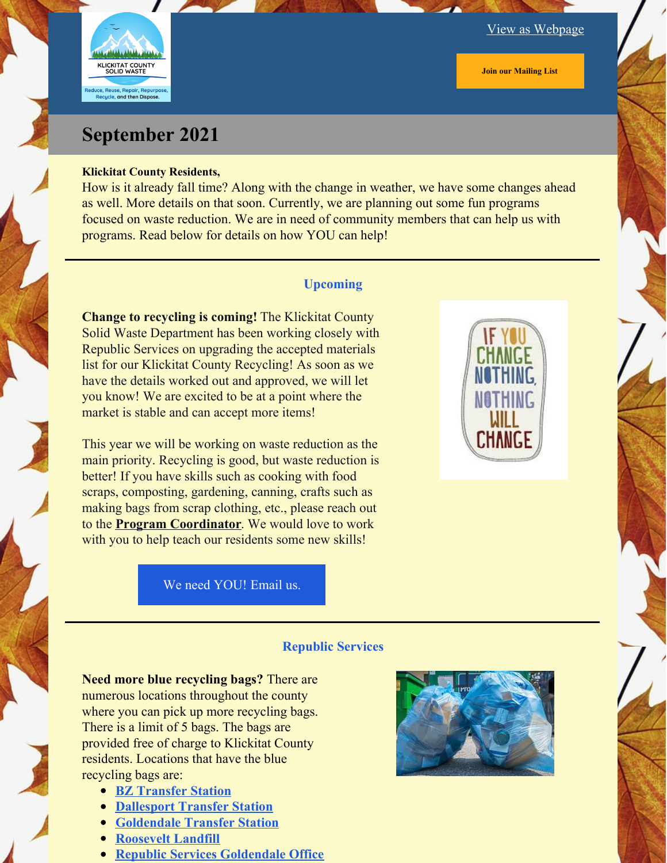

#### View as [Webpage](https://campaignlp.constantcontact.com/em/1134524202681/7923cdda-0b3b-4f3b-829b-21685bbc1d56)

**Join our [Mailing](https://lp.constantcontactpages.com/su/k8cDo2B?source_id=7923cdda-0b3b-4f3b-829b-21685bbc1d56&source_type=em&c=) List**

# **September 2021**

#### **Klickitat County Residents,**

How is it already fall time? Along with the change in weather, we have some changes ahead as well. More details on that soon. Currently, we are planning out some fun programs focused on waste reduction. We are in need of community members that can help us with programs. Read below for details on how YOU can help!

#### **Upcoming**

**Change to recycling is coming!** The Klickitat County Solid Waste Department has been working closely with Republic Services on upgrading the accepted materials list for our Klickitat County Recycling! As soon as we have the details worked out and approved, we will let you know! We are excited to be at a point where the market is stable and can accept more items!

This year we will be working on waste reduction as the main priority. Recycling is good, but waste reduction is better! If you have skills such as cooking with food scraps, composting, gardening, canning, crafts such as making bags from scrap clothing, etc., please reach out to the **Program [Coordinator](https://www.klickitatcounty.org/directory.aspx?EID=189)**. We would love to work with you to help teach our residents some new skills!



We need [YOU!](mailto:Michelleam@klickitatcounty.org) Email us.

#### **Republic Services**

**Need more blue recycling bags?** There are numerous locations throughout the county where you can pick up more recycling bags. There is a limit of 5 bags. The bags are provided free of charge to Klickitat County residents. Locations that have the blue recycling bags are:

- **BZ [Transfer](https://www.klickitatcounty.org/375/Transfer-Stations-Landfill) Station**
- **[Dallesport](https://www.klickitatcounty.org/375/Transfer-Stations-Landfill) Transfer Station**
- **[Goldendale](https://www.klickitatcounty.org/375/Transfer-Stations-Landfill) Transfer Station**
- **[Roosevelt](https://www.klickitatcounty.org/375/Transfer-Stations-Landfill) Landfill**
- **Republic Services [Goldendale](https://www.republicservices.com/municipality/klickitat-county-wa) Office**

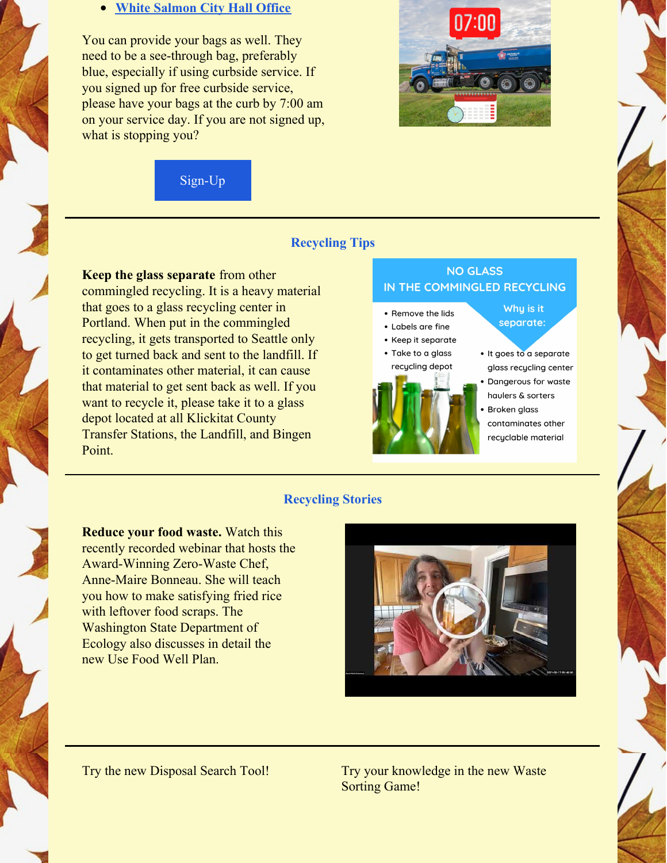#### **White [Salmon](https://www.white-salmon.net/contact) City Hall Office**

You can provide your bags as well. They need to be a see-through bag, preferably blue, especially if using curbside service. If you signed up for free curbside service, please have your bags at the curb by 7:00 am on your service day. If you are not signed up, what is stopping you?

[Sign-Up](https://www.republicservices.com/municipality/klickitat-county-wa)



### **Recycling Tips**

**Keep the glass separate** from other commingled recycling. It is a heavy material that goes to a glass recycling center in Portland. When put in the commingled recycling, it gets transported to Seattle only to get turned back and sent to the landfill. If it contaminates other material, it can cause that material to get sent back as well. If you want to recycle it, please take it to a glass depot located at all Klickitat County Transfer Stations, the Landfill, and Bingen Point.

## **NO GLASS** IN THE COMMINGLED RECYCLING



· It goes to a separate glass recycling center Dangerous for waste haulers & sorters Broken glass

Why is it

separate:

contaminates other recyclable material

#### **Recycling Stories**

**Reduce your food waste.** Watch this recently recorded webinar that hosts the Award-Winning Zero-Waste Chef, Anne-Maire Bonneau. She will teach you how to make satisfying fried rice with leftover food scraps. The Washington State Department of Ecology also discusses in detail the new Use Food Well Plan.



Try the new Disposal Search Tool! Try your knowledge in the new Waste Sorting Game!